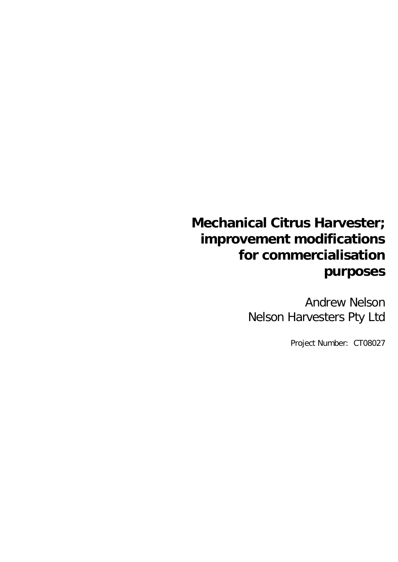# **Mechanical Citrus Harvester; improvement modifications for commercialisation purposes**

Andrew Nelson Nelson Harvesters Pty Ltd

Project Number: CT08027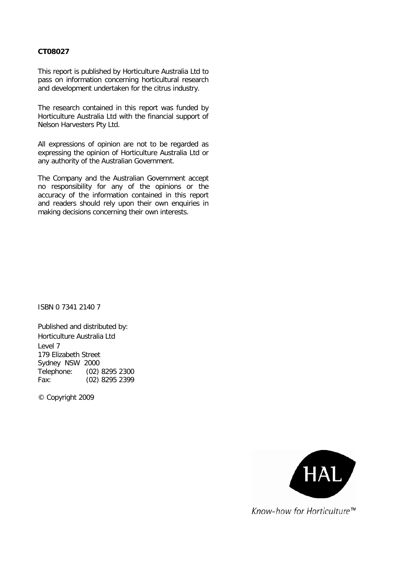#### **CT08027**

This report is published by Horticulture Australia Ltd to pass on information concerning horticultural research and development undertaken for the citrus industry.

The research contained in this report was funded by Horticulture Australia Ltd with the financial support of Nelson Harvesters Pty Ltd.

All expressions of opinion are not to be regarded as expressing the opinion of Horticulture Australia Ltd or any authority of the Australian Government.

The Company and the Australian Government accept no responsibility for any of the opinions or the accuracy of the information contained in this report and readers should rely upon their own enquiries in making decisions concerning their own interests.

ISBN 0 7341 2140 7

Published and distributed by: Horticulture Australia Ltd Level 7 179 Elizabeth Street Sydney NSW 2000 Telephone: (02) 8295 2300 Fax: (02) 8295 2399

© Copyright 2009



Know-how for Horticulture™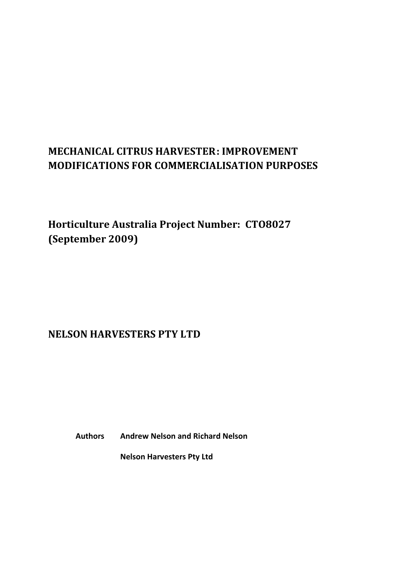## **MECHANICAL CITRUS HARVESTER: IMPROVEMENT MODIFICATIONS FOR COMMERCIALISATION PURPOSES**

**Horticulture Australia Project Number: CTO8027 (September 2009)**

## **NELSON HARVESTERS PTY LTD**

 **Authors Andrew Nelson and Richard Nelson**

 **Nelson Harvesters Pty Ltd**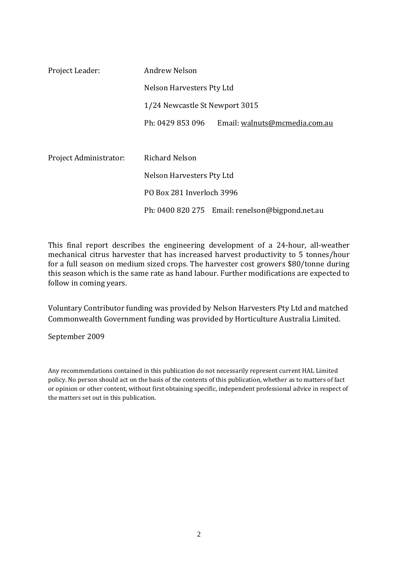| Project Leader:        | <b>Andrew Nelson</b>           |                                                 |
|------------------------|--------------------------------|-------------------------------------------------|
|                        | Nelson Harvesters Pty Ltd      |                                                 |
|                        | 1/24 Newcastle St Newport 3015 |                                                 |
|                        | Ph: 0429 853 096               | Email: walnuts@mcmedia.com.au                   |
|                        |                                |                                                 |
| Project Administrator: | <b>Richard Nelson</b>          |                                                 |
|                        | Nelson Harvesters Pty Ltd      |                                                 |
|                        | PO Box 281 Inverloch 3996      |                                                 |
|                        |                                | Ph: 0400 820 275 Email: renelson@bigpond.net.au |

This final report describes the engineering development of a 24-hour, all-weather mechanical citrus harvester that has increased harvest productivity to 5 tonnes/hour for a full season on medium sized crops. The harvester cost growers \$80/tonne during this season which is the same rate as hand labour. Further modifications are expected to follow in coming years.

Voluntary Contributor funding was provided by Nelson Harvesters Pty Ltd and matched Commonwealth Government funding was provided by Horticulture Australia Limited.

September 2009

Any recommendations contained in this publication do not necessarily represent current HAL Limited policy. No person should act on the basis of the contents of this publication, whether as to matters of fact or opinion or other content, without first obtaining specific, independent professional advice in respect of the matters set out in this publication.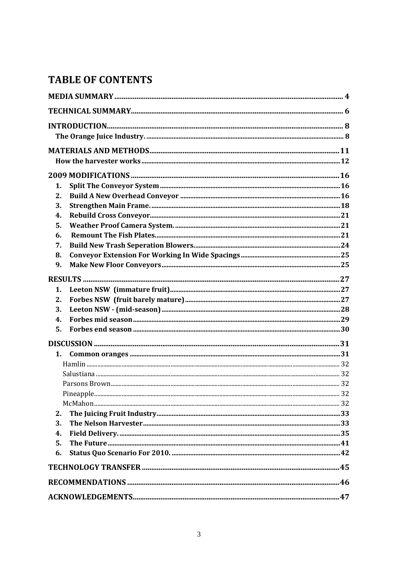## **TABLE OF CONTENTS**

| 1. |  |
|----|--|
| 2. |  |
| 3. |  |
| 4. |  |
| 5. |  |
| 6. |  |
| 7. |  |
| 8. |  |
| 9. |  |
|    |  |
| 1. |  |
| 2. |  |
| 3. |  |
| 4. |  |
| 5. |  |
|    |  |
| 1. |  |
|    |  |
|    |  |
|    |  |
|    |  |
|    |  |
| 2. |  |
| 3. |  |
| 4. |  |
| 5. |  |
| 6. |  |
|    |  |
|    |  |
|    |  |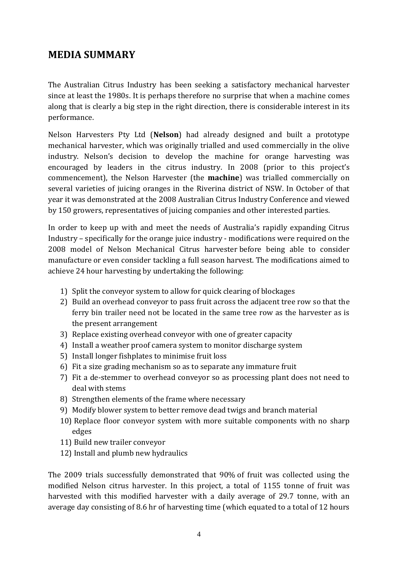## **MEDIA SUMMARY**

The Australian Citrus Industry has been seeking a satisfactory mechanical harvester since at least the 1980s. It is perhaps therefore no surprise that when a machine comes along that is clearly a big step in the right direction, there is considerable interest in its performance.

Nelson Harvesters Pty Ltd (**Nelson**) had already designed and built a prototype mechanical harvester, which was originally trialled and used commercially in the olive industry. Nelson's decision to develop the machine for orange harvesting was encouraged by leaders in the citrus industry. In 2008 (prior to this project's commencement), the Nelson Harvester (the **machine**) was trialled commercially on several varieties of juicing oranges in the Riverina district of NSW. In October of that year it was demonstrated at the 2008 Australian Citrus Industry Conference and viewed by 150 growers, representatives of juicing companies and other interested parties.

In order to keep up with and meet the needs of Australia's rapidly expanding Citrus Industry – specifically for the orange juice industry - modifications were required on the 2008 model of Nelson Mechanical Citrus harvester before being able to consider manufacture or even consider tackling a full season harvest. The modifications aimed to achieve 24 hour harvesting by undertaking the following:

- 1) Split the conveyor system to allow for quick clearing of blockages
- 2) Build an overhead conveyor to pass fruit across the adjacent tree row so that the ferry bin trailer need not be located in the same tree row as the harvester as is the present arrangement
- 3) Replace existing overhead conveyor with one of greater capacity
- 4) Install a weather proof camera system to monitor discharge system
- 5) Install longer fishplates to minimise fruit loss
- 6) Fit a size grading mechanism so as to separate any immature fruit
- 7) Fit a de-stemmer to overhead conveyor so as processing plant does not need to deal with stems
- 8) Strengthen elements of the frame where necessary
- 9) Modify blower system to better remove dead twigs and branch material
- 10) Replace floor conveyor system with more suitable components with no sharp edges
- 11) Build new trailer conveyor
- 12) Install and plumb new hydraulics

The 2009 trials successfully demonstrated that 90% of fruit was collected using the modified Nelson citrus harvester. In this project, a total of 1155 tonne of fruit was harvested with this modified harvester with a daily average of 29.7 tonne, with an average day consisting of 8.6 hr of harvesting time (which equated to a total of 12 hours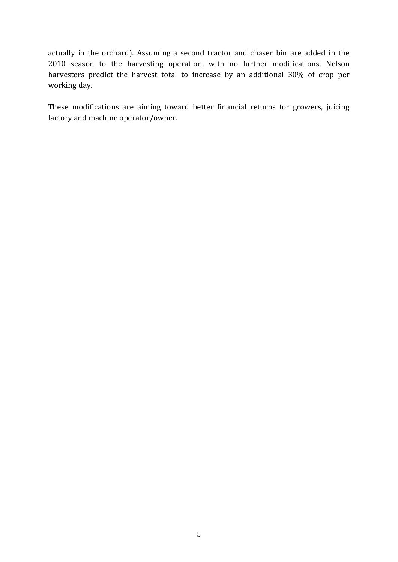actually in the orchard). Assuming a second tractor and chaser bin are added in the 2010 season to the harvesting operation, with no further modifications, Nelson harvesters predict the harvest total to increase by an additional 30% of crop per working day.

These modifications are aiming toward better financial returns for growers, juicing factory and machine operator/owner.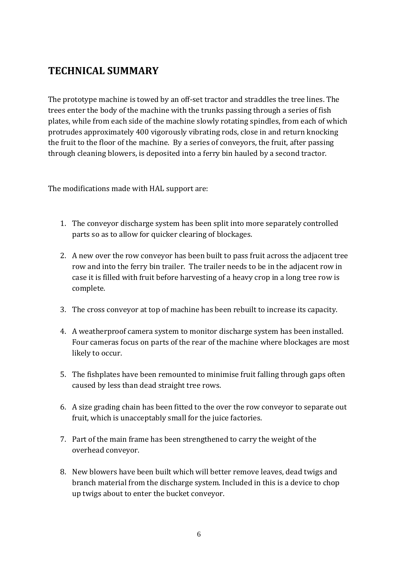## **TECHNICAL SUMMARY**

The prototype machine is towed by an off-set tractor and straddles the tree lines. The trees enter the body of the machine with the trunks passing through a series of fish plates, while from each side of the machine slowly rotating spindles, from each of which protrudes approximately 400 vigorously vibrating rods, close in and return knocking the fruit to the floor of the machine. By a series of conveyors, the fruit, after passing through cleaning blowers, is deposited into a ferry bin hauled by a second tractor.

The modifications made with HAL support are:

- 1. The conveyor discharge system has been split into more separately controlled parts so as to allow for quicker clearing of blockages.
- 2. A new over the row conveyor has been built to pass fruit across the adjacent tree row and into the ferry bin trailer. The trailer needs to be in the adjacent row in case it is filled with fruit before harvesting of a heavy crop in a long tree row is complete.
- 3. The cross conveyor at top of machine has been rebuilt to increase its capacity.
- 4. A weatherproof camera system to monitor discharge system has been installed. Four cameras focus on parts of the rear of the machine where blockages are most likely to occur.
- 5. The fishplates have been remounted to minimise fruit falling through gaps often caused by less than dead straight tree rows.
- 6. A size grading chain has been fitted to the over the row conveyor to separate out fruit, which is unacceptably small for the juice factories.
- 7. Part of the main frame has been strengthened to carry the weight of the overhead conveyor.
- 8. New blowers have been built which will better remove leaves, dead twigs and branch material from the discharge system. Included in this is a device to chop up twigs about to enter the bucket conveyor.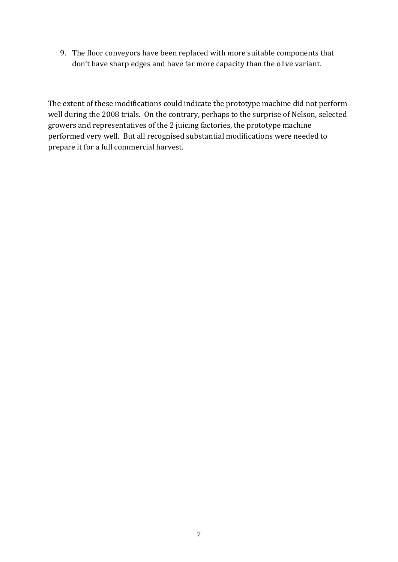9. The floor conveyors have been replaced with more suitable components that don't have sharp edges and have far more capacity than the olive variant.

The extent of these modifications could indicate the prototype machine did not perform well during the 2008 trials. On the contrary, perhaps to the surprise of Nelson, selected growers and representatives of the 2 juicing factories, the prototype machine performed very well. But all recognised substantial modifications were needed to prepare it for a full commercial harvest.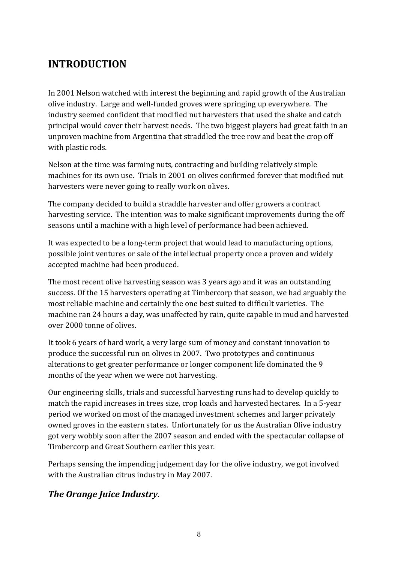## **INTRODUCTION**

In 2001 Nelson watched with interest the beginning and rapid growth of the Australian olive industry. Large and well-funded groves were springing up everywhere. The industry seemed confident that modified nut harvesters that used the shake and catch principal would cover their harvest needs. The two biggest players had great faith in an unproven machine from Argentina that straddled the tree row and beat the crop off with plastic rods.

Nelson at the time was farming nuts, contracting and building relatively simple machines for its own use. Trials in 2001 on olives confirmed forever that modified nut harvesters were never going to really work on olives.

The company decided to build a straddle harvester and offer growers a contract harvesting service. The intention was to make significant improvements during the off seasons until a machine with a high level of performance had been achieved.

It was expected to be a long-term project that would lead to manufacturing options, possible joint ventures or sale of the intellectual property once a proven and widely accepted machine had been produced.

The most recent olive harvesting season was 3 years ago and it was an outstanding success. Of the 15 harvesters operating at Timbercorp that season, we had arguably the most reliable machine and certainly the one best suited to difficult varieties. The machine ran 24 hours a day, was unaffected by rain, quite capable in mud and harvested over 2000 tonne of olives.

It took 6 years of hard work, a very large sum of money and constant innovation to produce the successful run on olives in 2007. Two prototypes and continuous alterations to get greater performance or longer component life dominated the 9 months of the year when we were not harvesting.

Our engineering skills, trials and successful harvesting runs had to develop quickly to match the rapid increases in trees size, crop loads and harvested hectares. In a 5-year period we worked on most of the managed investment schemes and larger privately owned groves in the eastern states. Unfortunately for us the Australian Olive industry got very wobbly soon after the 2007 season and ended with the spectacular collapse of Timbercorp and Great Southern earlier this year.

Perhaps sensing the impending judgement day for the olive industry, we got involved with the Australian citrus industry in May 2007.

## *The Orange Juice Industry.*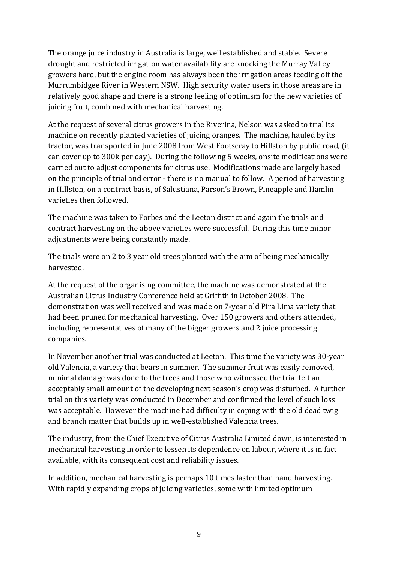The orange juice industry in Australia is large, well established and stable. Severe drought and restricted irrigation water availability are knocking the Murray Valley growers hard, but the engine room has always been the irrigation areas feeding off the Murrumbidgee River in Western NSW. High security water users in those areas are in relatively good shape and there is a strong feeling of optimism for the new varieties of juicing fruit, combined with mechanical harvesting.

At the request of several citrus growers in the Riverina, Nelson was asked to trial its machine on recently planted varieties of juicing oranges. The machine, hauled by its tractor, was transported in June 2008 from West Footscray to Hillston by public road, (it can cover up to 300k per day). During the following 5 weeks, onsite modifications were carried out to adjust components for citrus use. Modifications made are largely based on the principle of trial and error - there is no manual to follow. A period of harvesting in Hillston, on a contract basis, of Salustiana, Parson's Brown, Pineapple and Hamlin varieties then followed.

The machine was taken to Forbes and the Leeton district and again the trials and contract harvesting on the above varieties were successful. During this time minor adjustments were being constantly made.

The trials were on 2 to 3 year old trees planted with the aim of being mechanically harvested.

At the request of the organising committee, the machine was demonstrated at the Australian Citrus Industry Conference held at Griffith in October 2008. The demonstration was well received and was made on 7-year old Pira Lima variety that had been pruned for mechanical harvesting. Over 150 growers and others attended, including representatives of many of the bigger growers and 2 juice processing companies.

In November another trial was conducted at Leeton. This time the variety was 30-year old Valencia, a variety that bears in summer. The summer fruit was easily removed, minimal damage was done to the trees and those who witnessed the trial felt an acceptably small amount of the developing next season's crop was disturbed. A further trial on this variety was conducted in December and confirmed the level of such loss was acceptable. However the machine had difficulty in coping with the old dead twig and branch matter that builds up in well-established Valencia trees.

The industry, from the Chief Executive of Citrus Australia Limited down, is interested in mechanical harvesting in order to lessen its dependence on labour, where it is in fact available, with its consequent cost and reliability issues.

In addition, mechanical harvesting is perhaps 10 times faster than hand harvesting. With rapidly expanding crops of juicing varieties, some with limited optimum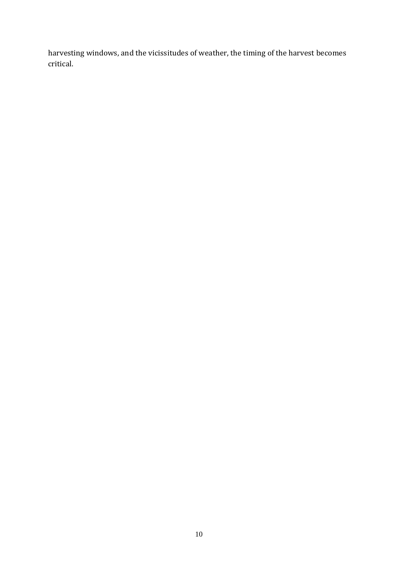harvesting windows, and the vicissitudes of weather, the timing of the harvest becomes critical.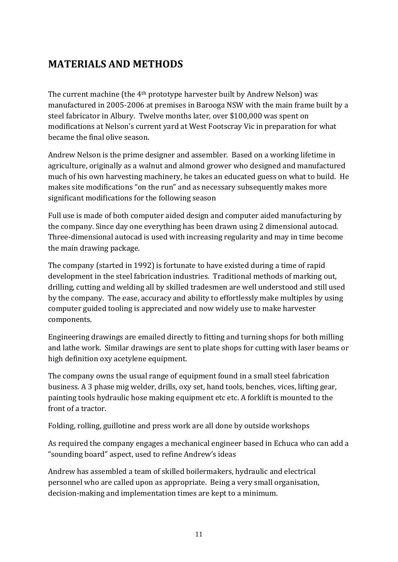## **MATERIALS AND METHODS**

The current machine (the 4th prototype harvester built by Andrew Nelson) was manufactured in 2005-2006 at premises in Barooga NSW with the main frame built by a steel fabricator in Albury. Twelve months later, over \$100,000 was spent on modifications at Nelson's current yard at West Footscray Vic in preparation for what became the final olive season.

Andrew Nelson is the prime designer and assembler. Based on a working lifetime in agriculture, originally as a walnut and almond grower who designed and manufactured much of his own harvesting machinery, he takes an educated guess on what to build. He makes site modifications "on the run" and as necessary subsequently makes more significant modifications for the following season

Full use is made of both computer aided design and computer aided manufacturing by the company. Since day one everything has been drawn using 2 dimensional autocad. Three-dimensional autocad is used with increasing regularity and may in time become the main drawing package.

The company (started in 1992) is fortunate to have existed during a time of rapid development in the steel fabrication industries. Traditional methods of marking out, drilling, cutting and welding all by skilled tradesmen are well understood and still used by the company. The ease, accuracy and ability to effortlessly make multiples by using computer guided tooling is appreciated and now widely use to make harvester components.

Engineering drawings are emailed directly to fitting and turning shops for both milling and lathe work. Similar drawings are sent to plate shops for cutting with laser beams or high definition oxy acetylene equipment.

The company owns the usual range of equipment found in a small steel fabrication business. A 3 phase mig welder, drills, oxy set, hand tools, benches, vices, lifting gear, painting tools hydraulic hose making equipment etc etc. A forklift is mounted to the front of a tractor.

Folding, rolling, guillotine and press work are all done by outside workshops

As required the company engages a mechanical engineer based in Echuca who can add a "sounding board" aspect, used to refine Andrew's ideas

Andrew has assembled a team of skilled boilermakers, hydraulic and electrical personnel who are called upon as appropriate. Being a very small organisation, decision-making and implementation times are kept to a minimum.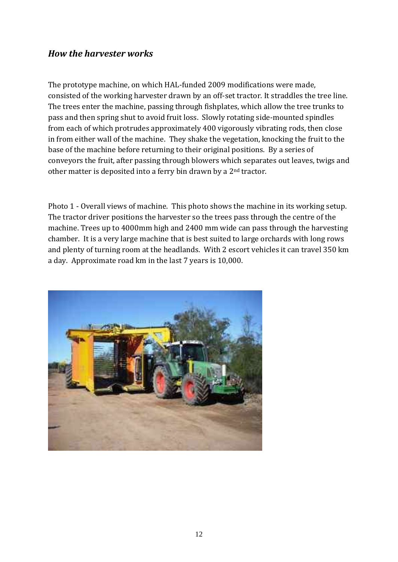### *How the harvester works*

The prototype machine, on which HAL-funded 2009 modifications were made, consisted of the working harvester drawn by an off-set tractor. It straddles the tree line. The trees enter the machine, passing through fishplates, which allow the tree trunks to pass and then spring shut to avoid fruit loss. Slowly rotating side-mounted spindles from each of which protrudes approximately 400 vigorously vibrating rods, then close in from either wall of the machine. They shake the vegetation, knocking the fruit to the base of the machine before returning to their original positions. By a series of conveyors the fruit, after passing through blowers which separates out leaves, twigs and other matter is deposited into a ferry bin drawn by a 2nd tractor.

Photo 1 - Overall views of machine. This photo shows the machine in its working setup. The tractor driver positions the harvester so the trees pass through the centre of the machine. Trees up to 4000mm high and 2400 mm wide can pass through the harvesting chamber. It is a very large machine that is best suited to large orchards with long rows and plenty of turning room at the headlands. With 2 escort vehicles it can travel 350 km a day. Approximate road km in the last 7 years is 10,000.

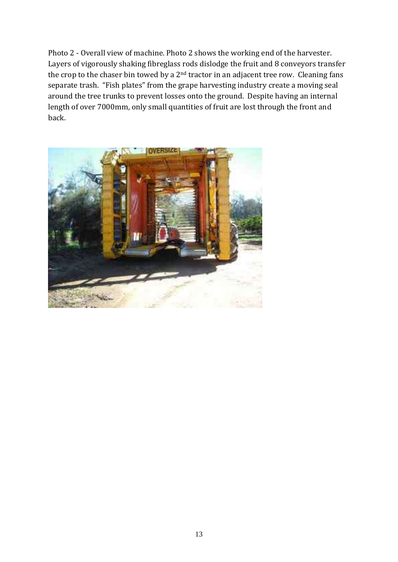Photo 2 - Overall view of machine. Photo 2 shows the working end of the harvester. Layers of vigorously shaking fibreglass rods dislodge the fruit and 8 conveyors transfer the crop to the chaser bin towed by a  $2<sup>nd</sup>$  tractor in an adjacent tree row. Cleaning fans separate trash. "Fish plates" from the grape harvesting industry create a moving seal around the tree trunks to prevent losses onto the ground. Despite having an internal length of over 7000mm, only small quantities of fruit are lost through the front and back.

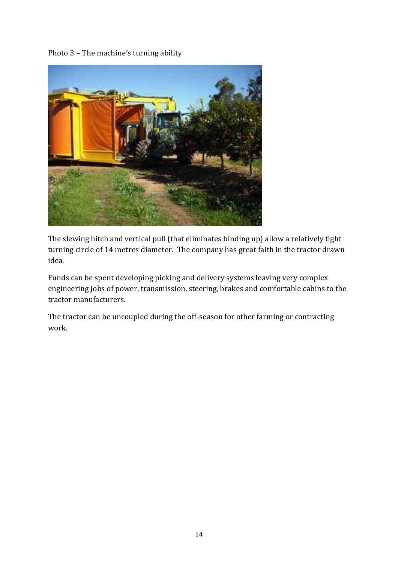Photo 3 – The machine's turning ability



The slewing hitch and vertical pull (that eliminates binding up) allow a relatively tight turning circle of 14 metres diameter. The company has great faith in the tractor drawn idea.

Funds can be spent developing picking and delivery systems leaving very complex engineering jobs of power, transmission, steering, brakes and comfortable cabins to the tractor manufacturers.

The tractor can be uncoupled during the off-season for other farming or contracting work.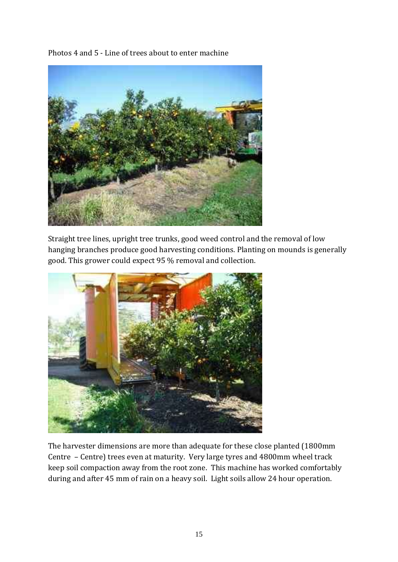Photos 4 and 5 - Line of trees about to enter machine



Straight tree lines, upright tree trunks, good weed control and the removal of low hanging branches produce good harvesting conditions. Planting on mounds is generally good. This grower could expect 95 % removal and collection.



The harvester dimensions are more than adequate for these close planted (1800mm Centre – Centre) trees even at maturity. Very large tyres and 4800mm wheel track keep soil compaction away from the root zone. This machine has worked comfortably during and after 45 mm of rain on a heavy soil. Light soils allow 24 hour operation.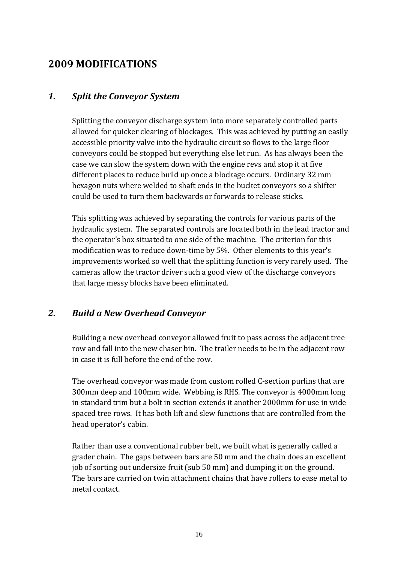## **2009 MODIFICATIONS**

### *1. Split the Conveyor System*

Splitting the conveyor discharge system into more separately controlled parts allowed for quicker clearing of blockages. This was achieved by putting an easily accessible priority valve into the hydraulic circuit so flows to the large floor conveyors could be stopped but everything else let run. As has always been the case we can slow the system down with the engine revs and stop it at five different places to reduce build up once a blockage occurs. Ordinary 32 mm hexagon nuts where welded to shaft ends in the bucket conveyors so a shifter could be used to turn them backwards or forwards to release sticks.

This splitting was achieved by separating the controls for various parts of the hydraulic system. The separated controls are located both in the lead tractor and the operator's box situated to one side of the machine. The criterion for this modification was to reduce down-time by 5%. Other elements to this year's improvements worked so well that the splitting function is very rarely used. The cameras allow the tractor driver such a good view of the discharge conveyors that large messy blocks have been eliminated.

### *2. Build a New Overhead Conveyor*

Building a new overhead conveyor allowed fruit to pass across the adjacent tree row and fall into the new chaser bin. The trailer needs to be in the adjacent row in case it is full before the end of the row.

The overhead conveyor was made from custom rolled C-section purlins that are 300mm deep and 100mm wide. Webbing is RHS. The conveyor is 4000mm long in standard trim but a bolt in section extends it another 2000mm for use in wide spaced tree rows. It has both lift and slew functions that are controlled from the head operator's cabin.

Rather than use a conventional rubber belt, we built what is generally called a grader chain. The gaps between bars are 50 mm and the chain does an excellent job of sorting out undersize fruit (sub 50 mm) and dumping it on the ground. The bars are carried on twin attachment chains that have rollers to ease metal to metal contact.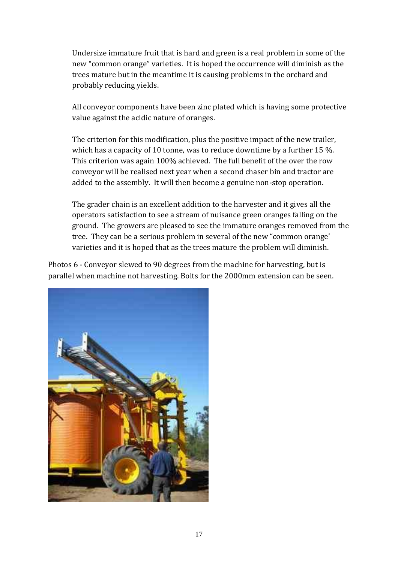Undersize immature fruit that is hard and green is a real problem in some of the new "common orange" varieties. It is hoped the occurrence will diminish as the trees mature but in the meantime it is causing problems in the orchard and probably reducing yields.

All conveyor components have been zinc plated which is having some protective value against the acidic nature of oranges.

The criterion for this modification, plus the positive impact of the new trailer, which has a capacity of 10 tonne, was to reduce downtime by a further 15 %. This criterion was again 100% achieved. The full benefit of the over the row conveyor will be realised next year when a second chaser bin and tractor are added to the assembly. It will then become a genuine non-stop operation.

The grader chain is an excellent addition to the harvester and it gives all the operators satisfaction to see a stream of nuisance green oranges falling on the ground. The growers are pleased to see the immature oranges removed from the tree. They can be a serious problem in several of the new "common orange' varieties and it is hoped that as the trees mature the problem will diminish.

Photos 6 - Conveyor slewed to 90 degrees from the machine for harvesting, but is parallel when machine not harvesting. Bolts for the 2000mm extension can be seen.

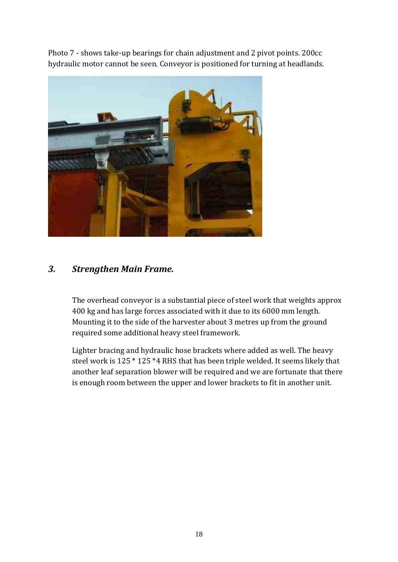Photo 7 - shows take-up bearings for chain adjustment and 2 pivot points. 200cc hydraulic motor cannot be seen. Conveyor is positioned for turning at headlands.



### *3. Strengthen Main Frame.*

The overhead conveyor is a substantial piece of steel work that weights approx 400 kg and has large forces associated with it due to its 6000 mm length. Mounting it to the side of the harvester about 3 metres up from the ground required some additional heavy steel framework.

Lighter bracing and hydraulic hose brackets where added as well. The heavy steel work is 125 \* 125 \*4 RHS that has been triple welded. It seems likely that another leaf separation blower will be required and we are fortunate that there is enough room between the upper and lower brackets to fit in another unit.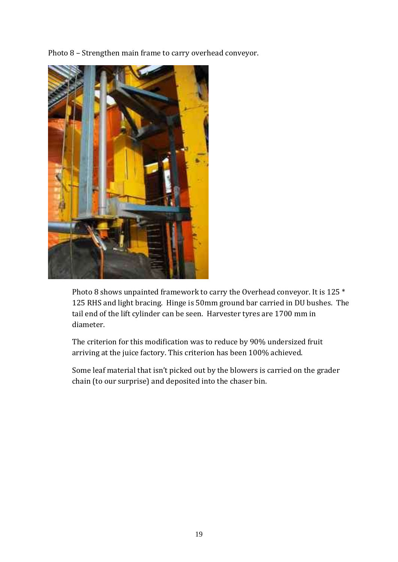Photo 8 – Strengthen main frame to carry overhead conveyor.



Photo 8 shows unpainted framework to carry the Overhead conveyor. It is 125 \* 125 RHS and light bracing. Hinge is 50mm ground bar carried in DU bushes. The tail end of the lift cylinder can be seen. Harvester tyres are 1700 mm in diameter.

The criterion for this modification was to reduce by 90% undersized fruit arriving at the juice factory. This criterion has been 100% achieved.

Some leaf material that isn't picked out by the blowers is carried on the grader chain (to our surprise) and deposited into the chaser bin.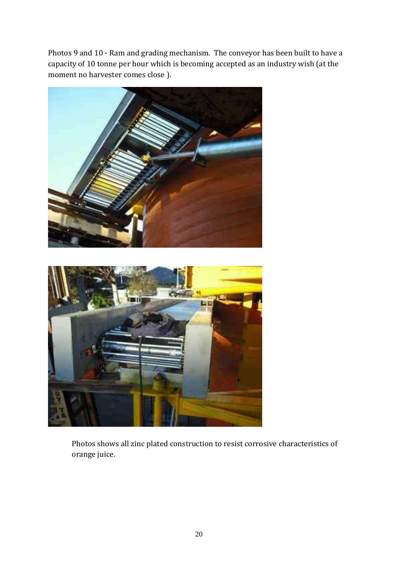Photos 9 and 10 - Ram and grading mechanism. The conveyor has been built to have a capacity of 10 tonne per hour which is becoming accepted as an industry wish (at the moment no harvester comes close ).



Photos shows all zinc plated construction to resist corrosive characteristics of orange juice.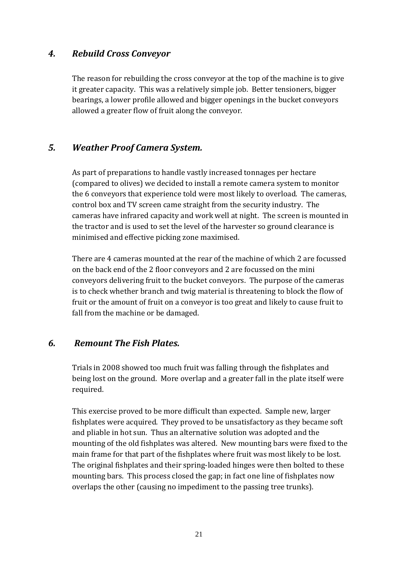### *4. Rebuild Cross Conveyor*

The reason for rebuilding the cross conveyor at the top of the machine is to give it greater capacity. This was a relatively simple job. Better tensioners, bigger bearings, a lower profile allowed and bigger openings in the bucket conveyors allowed a greater flow of fruit along the conveyor.

### *5. Weather Proof Camera System.*

As part of preparations to handle vastly increased tonnages per hectare (compared to olives) we decided to install a remote camera system to monitor the 6 conveyors that experience told were most likely to overload. The cameras, control box and TV screen came straight from the security industry. The cameras have infrared capacity and work well at night. The screen is mounted in the tractor and is used to set the level of the harvester so ground clearance is minimised and effective picking zone maximised.

There are 4 cameras mounted at the rear of the machine of which 2 are focussed on the back end of the 2 floor conveyors and 2 are focussed on the mini conveyors delivering fruit to the bucket conveyors. The purpose of the cameras is to check whether branch and twig material is threatening to block the flow of fruit or the amount of fruit on a conveyor is too great and likely to cause fruit to fall from the machine or be damaged.

#### *6. Remount The Fish Plates.*

Trials in 2008 showed too much fruit was falling through the fishplates and being lost on the ground. More overlap and a greater fall in the plate itself were required.

This exercise proved to be more difficult than expected. Sample new, larger fishplates were acquired. They proved to be unsatisfactory as they became soft and pliable in hot sun. Thus an alternative solution was adopted and the mounting of the old fishplates was altered. New mounting bars were fixed to the main frame for that part of the fishplates where fruit was most likely to be lost. The original fishplates and their spring-loaded hinges were then bolted to these mounting bars. This process closed the gap; in fact one line of fishplates now overlaps the other (causing no impediment to the passing tree trunks).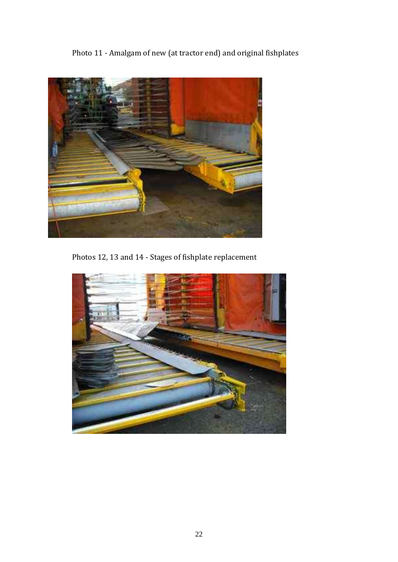Photo 11 - Amalgam of new (at tractor end) and original fishplates



Photos 12, 13 and 14 - Stages of fishplate replacement

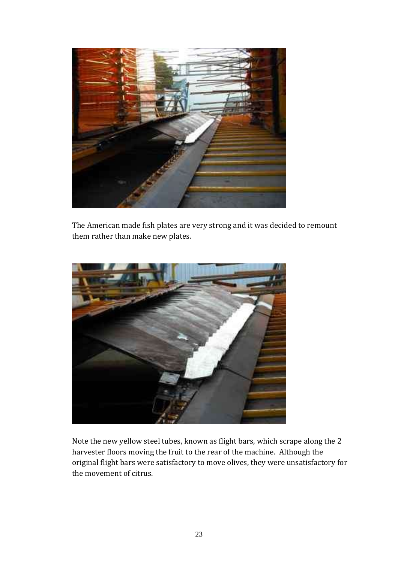

The American made fish plates are very strong and it was decided to remount them rather than make new plates.



Note the new yellow steel tubes, known as flight bars, which scrape along the 2 harvester floors moving the fruit to the rear of the machine. Although the original flight bars were satisfactory to move olives, they were unsatisfactory for the movement of citrus.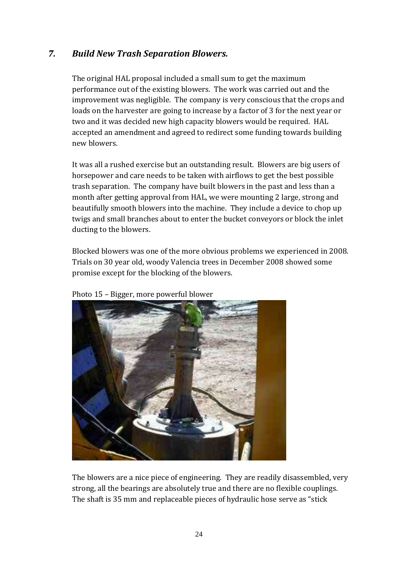### *7. Build New Trash Separation Blowers.*

The original HAL proposal included a small sum to get the maximum performance out of the existing blowers. The work was carried out and the improvement was negligible. The company is very conscious that the crops and loads on the harvester are going to increase by a factor of 3 for the next year or two and it was decided new high capacity blowers would be required. HAL accepted an amendment and agreed to redirect some funding towards building new blowers.

It was all a rushed exercise but an outstanding result. Blowers are big users of horsepower and care needs to be taken with airflows to get the best possible trash separation. The company have built blowers in the past and less than a month after getting approval from HAL, we were mounting 2 large, strong and beautifully smooth blowers into the machine. They include a device to chop up twigs and small branches about to enter the bucket conveyors or block the inlet ducting to the blowers.

Blocked blowers was one of the more obvious problems we experienced in 2008. Trials on 30 year old, woody Valencia trees in December 2008 showed some promise except for the blocking of the blowers.



Photo 15 – Bigger, more powerful blower

The blowers are a nice piece of engineering. They are readily disassembled, very strong, all the bearings are absolutely true and there are no flexible couplings. The shaft is 35 mm and replaceable pieces of hydraulic hose serve as "stick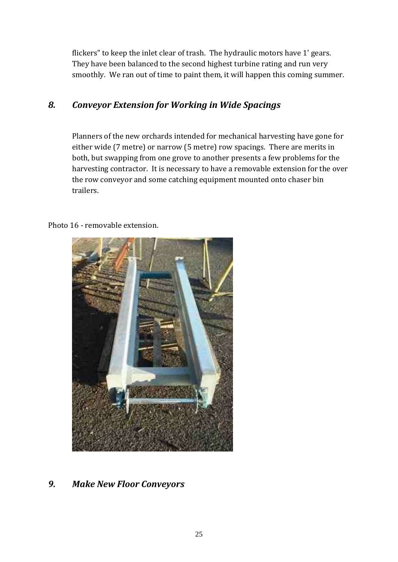flickers" to keep the inlet clear of trash. The hydraulic motors have 1' gears. They have been balanced to the second highest turbine rating and run very smoothly. We ran out of time to paint them, it will happen this coming summer.

## *8. Conveyor Extension for Working in Wide Spacings*

Planners of the new orchards intended for mechanical harvesting have gone for either wide (7 metre) or narrow (5 metre) row spacings. There are merits in both, but swapping from one grove to another presents a few problems for the harvesting contractor. It is necessary to have a removable extension for the over the row conveyor and some catching equipment mounted onto chaser bin trailers.

#### Photo 16 - removable extension.



### *9. Make New Floor Conveyors*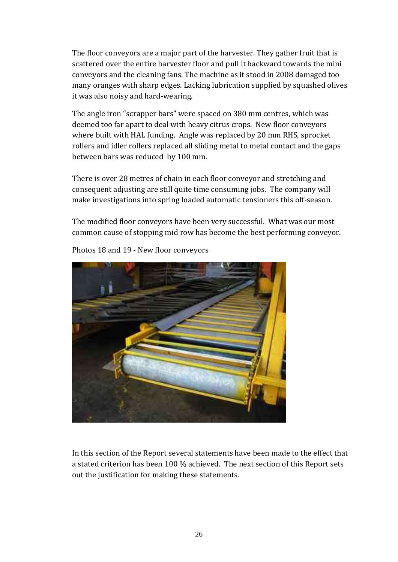The floor conveyors are a major part of the harvester. They gather fruit that is scattered over the entire harvester floor and pull it backward towards the mini conveyors and the cleaning fans. The machine as it stood in 2008 damaged too many oranges with sharp edges. Lacking lubrication supplied by squashed olives it was also noisy and hard-wearing.

The angle iron "scrapper bars" were spaced on 380 mm centres, which was deemed too far apart to deal with heavy citrus crops. New floor conveyors where built with HAL funding. Angle was replaced by 20 mm RHS, sprocket rollers and idler rollers replaced all sliding metal to metal contact and the gaps between bars was reduced by 100 mm.

There is over 28 metres of chain in each floor conveyor and stretching and consequent adjusting are still quite time consuming jobs. The company will make investigations into spring loaded automatic tensioners this off-season.

The modified floor conveyors have been very successful. What was our most common cause of stopping mid row has become the best performing conveyor.



Photos 18 and 19 - New floor conveyors

In this section of the Report several statements have been made to the effect that a stated criterion has been 100 % achieved. The next section of this Report sets out the justification for making these statements.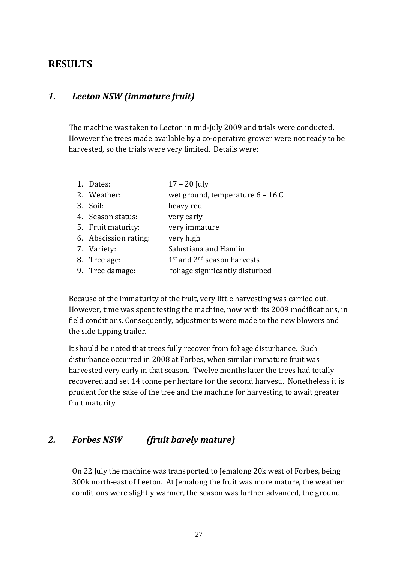## **RESULTS**

### *1. Leeton NSW (immature fruit)*

The machine was taken to Leeton in mid-July 2009 and trials were conducted. However the trees made available by a co-operative grower were not ready to be harvested, so the trials were very limited. Details were:

| 1. Dates:             | $17 - 20$ July                                      |
|-----------------------|-----------------------------------------------------|
| 2. Weather:           | wet ground, temperature 6 - 16 C                    |
| 3. Soil:              | heavy red                                           |
| 4. Season status:     | very early                                          |
| 5. Fruit maturity:    | very immature                                       |
| 6. Abscission rating: | very high                                           |
| 7. Variety:           | Salustiana and Hamlin                               |
| 8. Tree age:          | 1 <sup>st</sup> and 2 <sup>nd</sup> season harvests |
| 9. Tree damage:       | foliage significantly disturbed                     |

Because of the immaturity of the fruit, very little harvesting was carried out. However, time was spent testing the machine, now with its 2009 modifications, in field conditions. Consequently, adjustments were made to the new blowers and the side tipping trailer.

It should be noted that trees fully recover from foliage disturbance. Such disturbance occurred in 2008 at Forbes, when similar immature fruit was harvested very early in that season. Twelve months later the trees had totally recovered and set 14 tonne per hectare for the second harvest.. Nonetheless it is prudent for the sake of the tree and the machine for harvesting to await greater fruit maturity

### *2. Forbes NSW (fruit barely mature)*

On 22 July the machine was transported to Jemalong 20k west of Forbes, being 300k north-east of Leeton. At Jemalong the fruit was more mature, the weather conditions were slightly warmer, the season was further advanced, the ground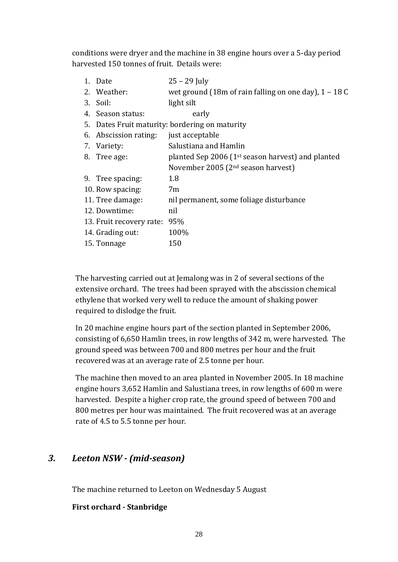conditions were dryer and the machine in 38 engine hours over a 5-day period harvested 150 tonnes of fruit. Details were:

| 1. Date                  | $25 - 29$ July                                                |
|--------------------------|---------------------------------------------------------------|
| 2. Weather:              | wet ground (18m of rain falling on one day), $1 - 18$ C       |
| 3. Soil:                 | light silt                                                    |
| 4. Season status:        | early                                                         |
|                          | 5. Dates Fruit maturity: bordering on maturity                |
| 6. Abscission rating:    | just acceptable                                               |
| 7. Variety:              | Salustiana and Hamlin                                         |
| 8. Tree age:             | planted Sep 2006 (1 <sup>st</sup> season harvest) and planted |
|                          | November 2005 ( $2nd$ season harvest)                         |
| 9. Tree spacing:         | 1.8                                                           |
| 10. Row spacing:         | 7 <sub>m</sub>                                                |
| 11. Tree damage:         | nil permanent, some foliage disturbance                       |
| 12. Downtime:            | nil                                                           |
| 13. Fruit recovery rate: | 95%                                                           |
| 14. Grading out:         | 100%                                                          |
| 15. Tonnage              | 150                                                           |

The harvesting carried out at Jemalong was in 2 of several sections of the extensive orchard. The trees had been sprayed with the abscission chemical ethylene that worked very well to reduce the amount of shaking power required to dislodge the fruit.

In 20 machine engine hours part of the section planted in September 2006, consisting of 6,650 Hamlin trees, in row lengths of 342 m, were harvested. The ground speed was between 700 and 800 metres per hour and the fruit recovered was at an average rate of 2.5 tonne per hour.

The machine then moved to an area planted in November 2005. In 18 machine engine hours 3,652 Hamlin and Salustiana trees, in row lengths of 600 m were harvested. Despite a higher crop rate, the ground speed of between 700 and 800 metres per hour was maintained. The fruit recovered was at an average rate of 4.5 to 5.5 tonne per hour.

## *3. Leeton NSW - (mid-season)*

The machine returned to Leeton on Wednesday 5 August

#### **First orchard - Stanbridge**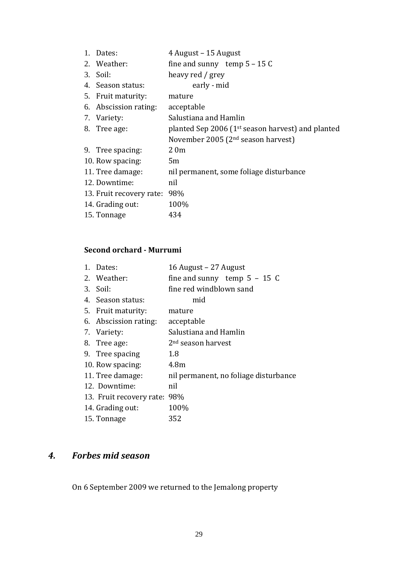| 1. Dates:                | 4 August – 15 August                                          |
|--------------------------|---------------------------------------------------------------|
| 2. Weather:              | fine and sunny temp $5 - 15C$                                 |
| 3. Soil:                 | heavy red / grey                                              |
| 4. Season status:        | early - mid                                                   |
| 5. Fruit maturity:       | mature                                                        |
| 6. Abscission rating:    | acceptable                                                    |
| 7. Variety:              | Salustiana and Hamlin                                         |
| 8. Tree age:             | planted Sep 2006 (1 <sup>st</sup> season harvest) and planted |
|                          | November 2005 (2 <sup>nd</sup> season harvest)                |
| 9. Tree spacing:         | 20m                                                           |
| 10. Row spacing:         | 5m                                                            |
| 11. Tree damage:         | nil permanent, some foliage disturbance                       |
| 12. Downtime:            | nil                                                           |
| 13. Fruit recovery rate: | 98%                                                           |
| 14. Grading out:         | 100%                                                          |
| 15. Tonnage              | 434                                                           |

## **Second orchard - Murrumi**

| 1. Dates:                    | 16 August - 27 August                 |
|------------------------------|---------------------------------------|
| 2. Weather:                  | fine and sunny temp $5 - 15$ C        |
| 3. Soil:                     | fine red windblown sand               |
| 4. Season status:            | mid                                   |
| 5. Fruit maturity:           | mature                                |
| 6. Abscission rating:        | acceptable                            |
| 7. Variety:                  | Salustiana and Hamlin                 |
| 8. Tree age:                 | 2 <sup>nd</sup> season harvest        |
| 9. Tree spacing              | 1.8                                   |
| 10. Row spacing:             | 4.8 <sub>m</sub>                      |
| 11. Tree damage:             | nil permanent, no foliage disturbance |
| 12. Downtime:                | nil                                   |
| 13. Fruit recovery rate: 98% |                                       |
| 14. Grading out:             | 100%                                  |
| 15. Tonnage                  | 352                                   |
|                              |                                       |

## *4. Forbes mid season*

On 6 September 2009 we returned to the Jemalong property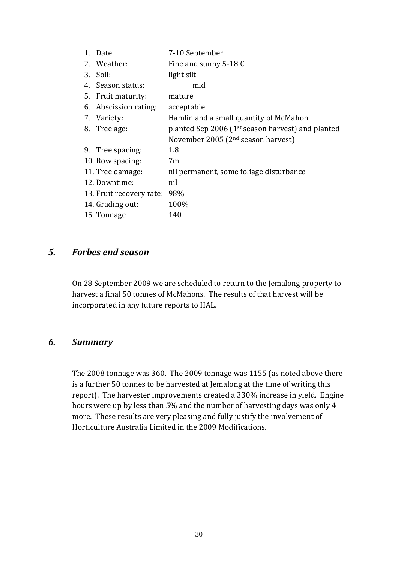| 1. Date                  | 7-10 September                                                |
|--------------------------|---------------------------------------------------------------|
| 2. Weather:              | Fine and sunny 5-18 C                                         |
| 3. Soil:                 | light silt                                                    |
| 4. Season status:        | mid                                                           |
| 5. Fruit maturity:       | mature                                                        |
| 6. Abscission rating:    | acceptable                                                    |
| 7. Variety:              | Hamlin and a small quantity of McMahon                        |
| 8. Tree age:             | planted Sep 2006 (1 <sup>st</sup> season harvest) and planted |
|                          | November 2005 ( $2nd$ season harvest)                         |
| 9. Tree spacing:         | 1.8                                                           |
| 10. Row spacing:         | 7 <sub>m</sub>                                                |
| 11. Tree damage:         | nil permanent, some foliage disturbance                       |
| 12. Downtime:            | nil                                                           |
| 13. Fruit recovery rate: | 98%                                                           |
| 14. Grading out:         | 100%                                                          |
| 15. Tonnage              | 140                                                           |

#### *5. Forbes end season*

On 28 September 2009 we are scheduled to return to the Jemalong property to harvest a final 50 tonnes of McMahons. The results of that harvest will be incorporated in any future reports to HAL.

### *6. Summary*

The 2008 tonnage was 360. The 2009 tonnage was 1155 (as noted above there is a further 50 tonnes to be harvested at Jemalong at the time of writing this report). The harvester improvements created a 330% increase in yield. Engine hours were up by less than 5% and the number of harvesting days was only 4 more. These results are very pleasing and fully justify the involvement of Horticulture Australia Limited in the 2009 Modifications.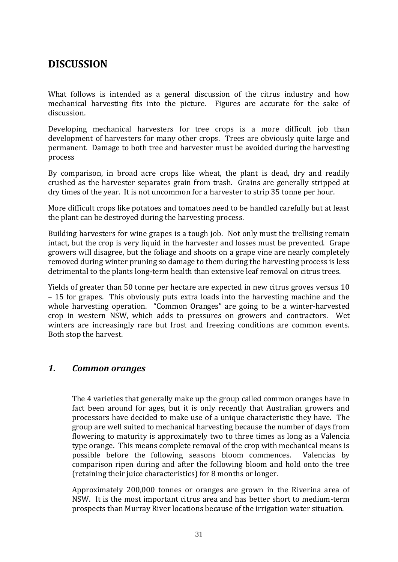## **DISCUSSION**

What follows is intended as a general discussion of the citrus industry and how mechanical harvesting fits into the picture. Figures are accurate for the sake of discussion.

Developing mechanical harvesters for tree crops is a more difficult job than development of harvesters for many other crops. Trees are obviously quite large and permanent. Damage to both tree and harvester must be avoided during the harvesting process

By comparison, in broad acre crops like wheat, the plant is dead, dry and readily crushed as the harvester separates grain from trash. Grains are generally stripped at dry times of the year. It is not uncommon for a harvester to strip 35 tonne per hour.

More difficult crops like potatoes and tomatoes need to be handled carefully but at least the plant can be destroyed during the harvesting process.

Building harvesters for wine grapes is a tough job. Not only must the trellising remain intact, but the crop is very liquid in the harvester and losses must be prevented. Grape growers will disagree, but the foliage and shoots on a grape vine are nearly completely removed during winter pruning so damage to them during the harvesting process is less detrimental to the plants long-term health than extensive leaf removal on citrus trees.

Yields of greater than 50 tonne per hectare are expected in new citrus groves versus 10 – 15 for grapes. This obviously puts extra loads into the harvesting machine and the whole harvesting operation. "Common Oranges" are going to be a winter-harvested crop in western NSW, which adds to pressures on growers and contractors. Wet winters are increasingly rare but frost and freezing conditions are common events. Both stop the harvest.

#### *1. Common oranges*

The 4 varieties that generally make up the group called common oranges have in fact been around for ages, but it is only recently that Australian growers and processors have decided to make use of a unique characteristic they have. The group are well suited to mechanical harvesting because the number of days from flowering to maturity is approximately two to three times as long as a Valencia type orange. This means complete removal of the crop with mechanical means is possible before the following seasons bloom commences. Valencias by comparison ripen during and after the following bloom and hold onto the tree (retaining their juice characteristics) for 8 months or longer.

Approximately 200,000 tonnes or oranges are grown in the Riverina area of NSW. It is the most important citrus area and has better short to medium-term prospects than Murray River locations because of the irrigation water situation.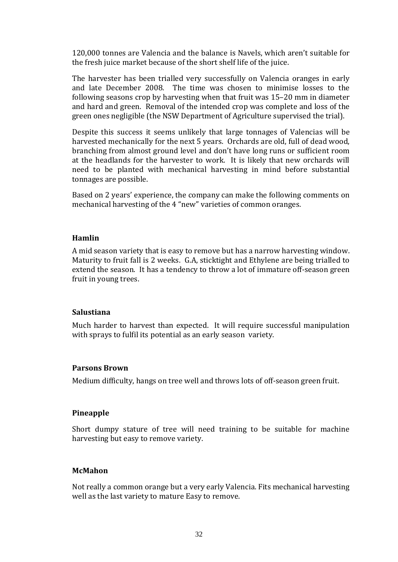120,000 tonnes are Valencia and the balance is Navels, which aren't suitable for the fresh juice market because of the short shelf life of the juice.

The harvester has been trialled very successfully on Valencia oranges in early and late December 2008. The time was chosen to minimise losses to the following seasons crop by harvesting when that fruit was 15–20 mm in diameter and hard and green. Removal of the intended crop was complete and loss of the green ones negligible (the NSW Department of Agriculture supervised the trial).

Despite this success it seems unlikely that large tonnages of Valencias will be harvested mechanically for the next 5 years. Orchards are old, full of dead wood, branching from almost ground level and don't have long runs or sufficient room at the headlands for the harvester to work. It is likely that new orchards will need to be planted with mechanical harvesting in mind before substantial tonnages are possible.

Based on 2 years' experience, the company can make the following comments on mechanical harvesting of the 4 "new" varieties of common oranges.

#### **Hamlin**

A mid season variety that is easy to remove but has a narrow harvesting window. Maturity to fruit fall is 2 weeks. G.A, sticktight and Ethylene are being trialled to extend the season. It has a tendency to throw a lot of immature off-season green fruit in young trees.

#### **Salustiana**

Much harder to harvest than expected. It will require successful manipulation with sprays to fulfil its potential as an early season variety.

#### **Parsons Brown**

Medium difficulty, hangs on tree well and throws lots of off-season green fruit.

#### **Pineapple**

Short dumpy stature of tree will need training to be suitable for machine harvesting but easy to remove variety.

#### **McMahon**

Not really a common orange but a very early Valencia. Fits mechanical harvesting well as the last variety to mature Easy to remove.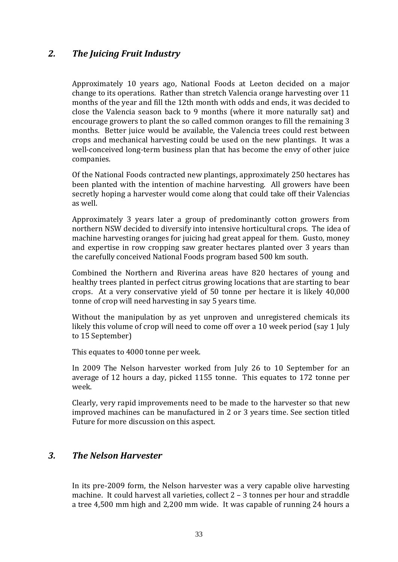### *2. The Juicing Fruit Industry*

Approximately 10 years ago, National Foods at Leeton decided on a major change to its operations. Rather than stretch Valencia orange harvesting over 11 months of the year and fill the 12th month with odds and ends, it was decided to close the Valencia season back to 9 months (where it more naturally sat) and encourage growers to plant the so called common oranges to fill the remaining 3 months. Better juice would be available, the Valencia trees could rest between crops and mechanical harvesting could be used on the new plantings. It was a well-conceived long-term business plan that has become the envy of other juice companies.

Of the National Foods contracted new plantings, approximately 250 hectares has been planted with the intention of machine harvesting. All growers have been secretly hoping a harvester would come along that could take off their Valencias as well.

Approximately 3 years later a group of predominantly cotton growers from northern NSW decided to diversify into intensive horticultural crops. The idea of machine harvesting oranges for juicing had great appeal for them. Gusto, money and expertise in row cropping saw greater hectares planted over 3 years than the carefully conceived National Foods program based 500 km south.

Combined the Northern and Riverina areas have 820 hectares of young and healthy trees planted in perfect citrus growing locations that are starting to bear crops. At a very conservative yield of 50 tonne per hectare it is likely 40,000 tonne of crop will need harvesting in say 5 years time.

Without the manipulation by as yet unproven and unregistered chemicals its likely this volume of crop will need to come off over a 10 week period (say 1 July to 15 September)

This equates to 4000 tonne per week.

In 2009 The Nelson harvester worked from July 26 to 10 September for an average of 12 hours a day, picked 1155 tonne. This equates to 172 tonne per week.

Clearly, very rapid improvements need to be made to the harvester so that new improved machines can be manufactured in 2 or 3 years time. See section titled Future for more discussion on this aspect.

#### *3. The Nelson Harvester*

In its pre-2009 form, the Nelson harvester was a very capable olive harvesting machine. It could harvest all varieties, collect 2 – 3 tonnes per hour and straddle a tree 4,500 mm high and 2,200 mm wide. It was capable of running 24 hours a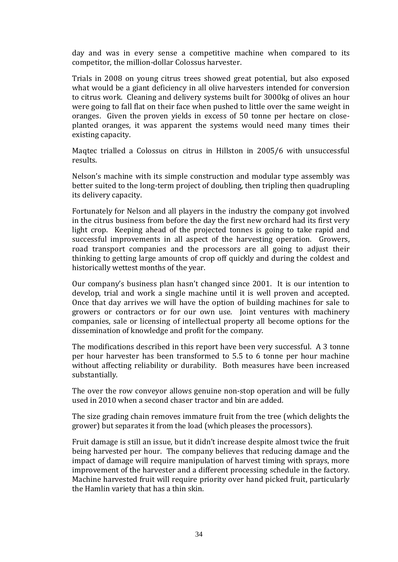day and was in every sense a competitive machine when compared to its competitor, the million-dollar Colossus harvester.

Trials in 2008 on young citrus trees showed great potential, but also exposed what would be a giant deficiency in all olive harvesters intended for conversion to citrus work. Cleaning and delivery systems built for 3000kg of olives an hour were going to fall flat on their face when pushed to little over the same weight in oranges. Given the proven yields in excess of 50 tonne per hectare on closeplanted oranges, it was apparent the systems would need many times their existing capacity.

Maqtec trialled a Colossus on citrus in Hillston in 2005/6 with unsuccessful results.

Nelson's machine with its simple construction and modular type assembly was better suited to the long-term project of doubling, then tripling then quadrupling its delivery capacity.

Fortunately for Nelson and all players in the industry the company got involved in the citrus business from before the day the first new orchard had its first very light crop. Keeping ahead of the projected tonnes is going to take rapid and successful improvements in all aspect of the harvesting operation. Growers, road transport companies and the processors are all going to adjust their thinking to getting large amounts of crop off quickly and during the coldest and historically wettest months of the year.

Our company's business plan hasn't changed since 2001. It is our intention to develop, trial and work a single machine until it is well proven and accepted. Once that day arrives we will have the option of building machines for sale to growers or contractors or for our own use. Joint ventures with machinery companies, sale or licensing of intellectual property all become options for the dissemination of knowledge and profit for the company.

The modifications described in this report have been very successful. A 3 tonne per hour harvester has been transformed to 5.5 to 6 tonne per hour machine without affecting reliability or durability. Both measures have been increased substantially.

The over the row conveyor allows genuine non-stop operation and will be fully used in 2010 when a second chaser tractor and bin are added.

The size grading chain removes immature fruit from the tree (which delights the grower) but separates it from the load (which pleases the processors).

Fruit damage is still an issue, but it didn't increase despite almost twice the fruit being harvested per hour. The company believes that reducing damage and the impact of damage will require manipulation of harvest timing with sprays, more improvement of the harvester and a different processing schedule in the factory. Machine harvested fruit will require priority over hand picked fruit, particularly the Hamlin variety that has a thin skin.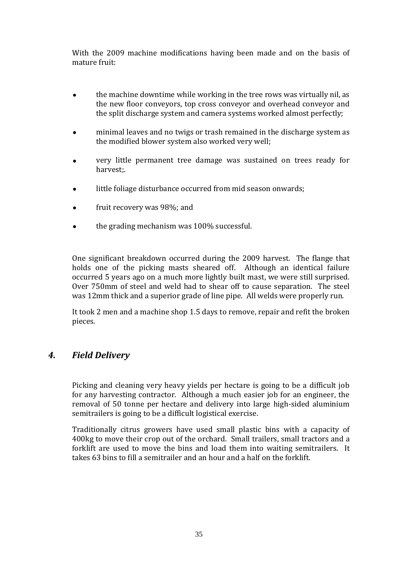With the 2009 machine modifications having been made and on the basis of mature fruit:

- the machine downtime while working in the tree rows was virtually nil, as the new floor conveyors, top cross conveyor and overhead conveyor and the split discharge system and camera systems worked almost perfectly;
- minimal leaves and no twigs or trash remained in the discharge system as the modified blower system also worked very well;
- very little permanent tree damage was sustained on trees ready for harvest;.
- little foliage disturbance occurred from mid season onwards;
- fruit recovery was 98%; and
- the grading mechanism was 100% successful.

One significant breakdown occurred during the 2009 harvest. The flange that holds one of the picking masts sheared off. Although an identical failure occurred 5 years ago on a much more lightly built mast, we were still surprised. Over 750mm of steel and weld had to shear off to cause separation. The steel was 12mm thick and a superior grade of line pipe. All welds were properly run.

It took 2 men and a machine shop 1.5 days to remove, repair and refit the broken pieces.

### *4. Field Delivery*

Picking and cleaning very heavy yields per hectare is going to be a difficult job for any harvesting contractor. Although a much easier job for an engineer, the removal of 50 tonne per hectare and delivery into large high-sided aluminium semitrailers is going to be a difficult logistical exercise.

Traditionally citrus growers have used small plastic bins with a capacity of 400kg to move their crop out of the orchard. Small trailers, small tractors and a forklift are used to move the bins and load them into waiting semitrailers. It takes 63 bins to fill a semitrailer and an hour and a half on the forklift.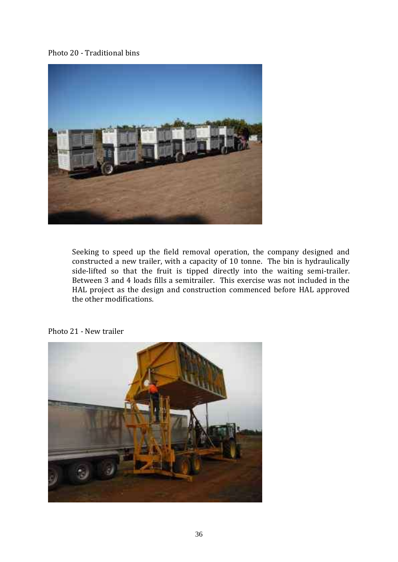#### Photo 20 - Traditional bins



Seeking to speed up the field removal operation, the company designed and constructed a new trailer, with a capacity of 10 tonne. The bin is hydraulically side-lifted so that the fruit is tipped directly into the waiting semi-trailer. Between 3 and 4 loads fills a semitrailer. This exercise was not included in the HAL project as the design and construction commenced before HAL approved the other modifications.



#### Photo 21 - New trailer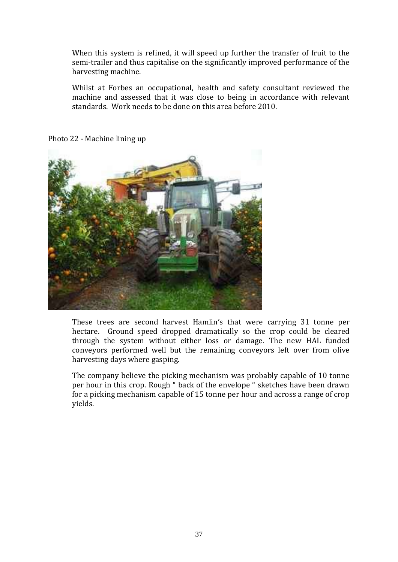When this system is refined, it will speed up further the transfer of fruit to the semi-trailer and thus capitalise on the significantly improved performance of the harvesting machine.

Whilst at Forbes an occupational, health and safety consultant reviewed the machine and assessed that it was close to being in accordance with relevant standards. Work needs to be done on this area before 2010.



Photo 22 - Machine lining up

These trees are second harvest Hamlin's that were carrying 31 tonne per hectare. Ground speed dropped dramatically so the crop could be cleared through the system without either loss or damage. The new HAL funded conveyors performed well but the remaining conveyors left over from olive harvesting days where gasping.

The company believe the picking mechanism was probably capable of 10 tonne per hour in this crop. Rough " back of the envelope " sketches have been drawn for a picking mechanism capable of 15 tonne per hour and across a range of crop yields.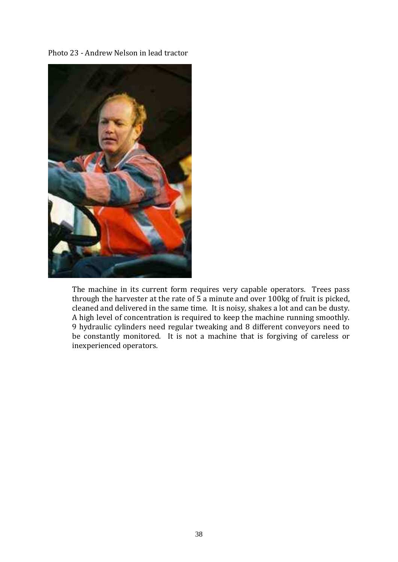Photo 23 - Andrew Nelson in lead tractor



The machine in its current form requires very capable operators. Trees pass through the harvester at the rate of  $\overline{5}$  a minute and over 100kg of fruit is picked, cleaned and delivered in the same time. It is noisy, shakes a lot and can be dusty. A high level of concentration is required to keep the machine running smoothly. 9 hydraulic cylinders need regular tweaking and 8 different conveyors need to be constantly monitored. It is not a machine that is forgiving of careless or inexperienced operators.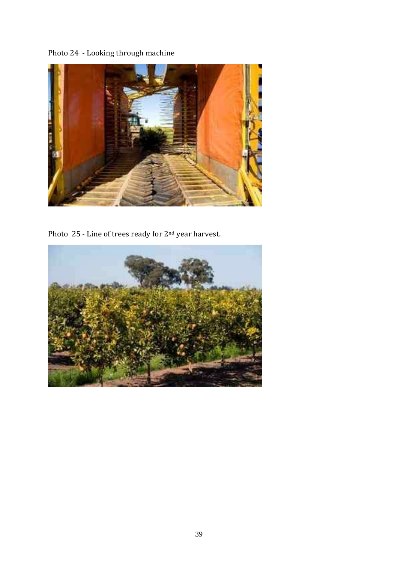Photo 24 - Looking through machine



Photo 25 - Line of trees ready for 2nd year harvest.

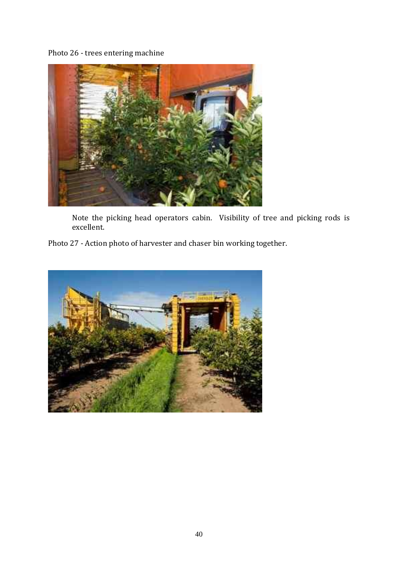Photo 26 - trees entering machine



Note the picking head operators cabin. Visibility of tree and picking rods is excellent.

Photo 27 - Action photo of harvester and chaser bin working together.

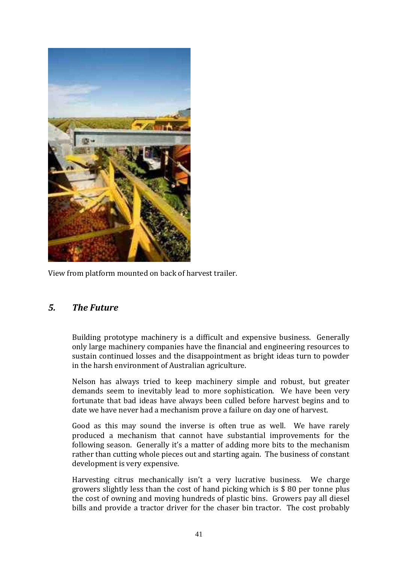

View from platform mounted on back of harvest trailer.

### *5. The Future*

Building prototype machinery is a difficult and expensive business. Generally only large machinery companies have the financial and engineering resources to sustain continued losses and the disappointment as bright ideas turn to powder in the harsh environment of Australian agriculture.

Nelson has always tried to keep machinery simple and robust, but greater demands seem to inevitably lead to more sophistication. We have been very fortunate that bad ideas have always been culled before harvest begins and to date we have never had a mechanism prove a failure on day one of harvest.

Good as this may sound the inverse is often true as well. We have rarely produced a mechanism that cannot have substantial improvements for the following season. Generally it's a matter of adding more bits to the mechanism rather than cutting whole pieces out and starting again. The business of constant development is very expensive.

Harvesting citrus mechanically isn't a very lucrative business. We charge growers slightly less than the cost of hand picking which is \$ 80 per tonne plus the cost of owning and moving hundreds of plastic bins. Growers pay all diesel bills and provide a tractor driver for the chaser bin tractor. The cost probably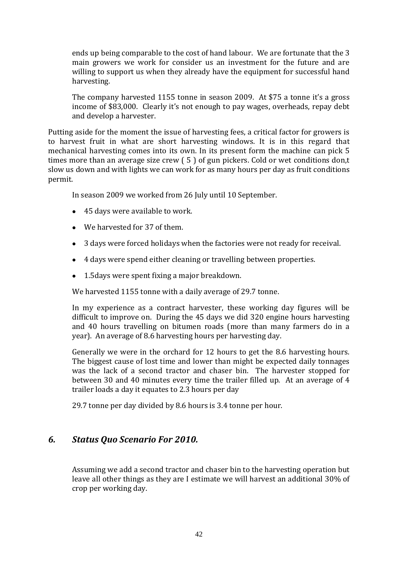ends up being comparable to the cost of hand labour. We are fortunate that the 3 main growers we work for consider us an investment for the future and are willing to support us when they already have the equipment for successful hand harvesting.

The company harvested 1155 tonne in season 2009. At \$75 a tonne it's a gross income of \$83,000. Clearly it's not enough to pay wages, overheads, repay debt and develop a harvester.

Putting aside for the moment the issue of harvesting fees, a critical factor for growers is to harvest fruit in what are short harvesting windows. It is in this regard that mechanical harvesting comes into its own. In its present form the machine can pick 5 times more than an average size crew ( 5 ) of gun pickers. Cold or wet conditions don,t slow us down and with lights we can work for as many hours per day as fruit conditions permit.

In season 2009 we worked from 26 July until 10 September.

- 45 days were available to work.
- We harvested for 37 of them.
- 3 days were forced holidays when the factories were not ready for receival.
- 4 days were spend either cleaning or travelling between properties.
- 1.5 days were spent fixing a major breakdown.

We harvested 1155 tonne with a daily average of 29.7 tonne.

In my experience as a contract harvester, these working day figures will be difficult to improve on. During the 45 days we did 320 engine hours harvesting and 40 hours travelling on bitumen roads (more than many farmers do in a year). An average of 8.6 harvesting hours per harvesting day.

Generally we were in the orchard for 12 hours to get the 8.6 harvesting hours. The biggest cause of lost time and lower than might be expected daily tonnages was the lack of a second tractor and chaser bin. The harvester stopped for between 30 and 40 minutes every time the trailer filled up. At an average of 4 trailer loads a day it equates to 2.3 hours per day

29.7 tonne per day divided by 8.6 hours is 3.4 tonne per hour.

#### *6. Status Quo Scenario For 2010.*

Assuming we add a second tractor and chaser bin to the harvesting operation but leave all other things as they are I estimate we will harvest an additional 30% of crop per working day.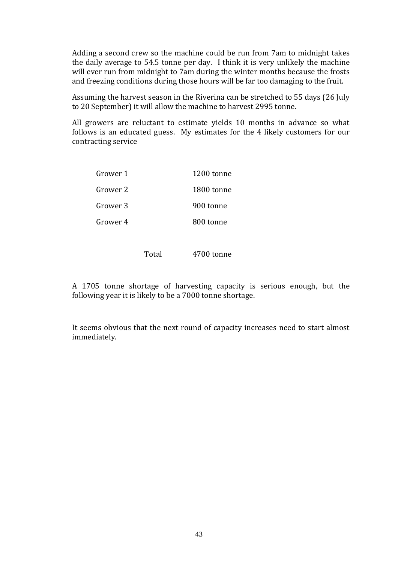Adding a second crew so the machine could be run from 7am to midnight takes the daily average to 54.5 tonne per day. I think it is very unlikely the machine will ever run from midnight to 7am during the winter months because the frosts and freezing conditions during those hours will be far too damaging to the fruit.

Assuming the harvest season in the Riverina can be stretched to 55 days (26 July to 20 September) it will allow the machine to harvest 2995 tonne.

All growers are reluctant to estimate yields 10 months in advance so what follows is an educated guess. My estimates for the 4 likely customers for our contracting service

| Grower 1 | 1200 tonne |
|----------|------------|
| Grower 2 | 1800 tonne |
| Grower 3 | 900 tonne  |
| Grower 4 | 800 tonne  |

Total 4700 tonne

A 1705 tonne shortage of harvesting capacity is serious enough, but the following year it is likely to be a 7000 tonne shortage.

It seems obvious that the next round of capacity increases need to start almost immediately.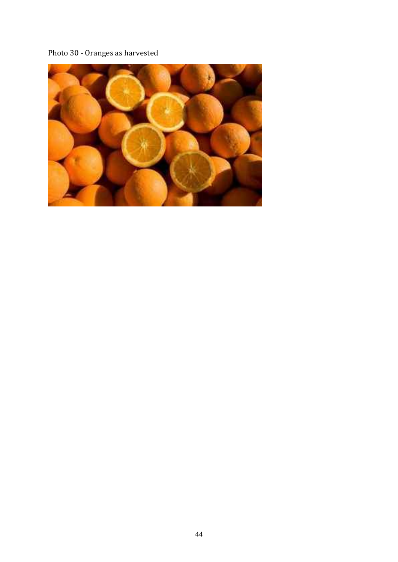## Photo 30 - Oranges as harvested

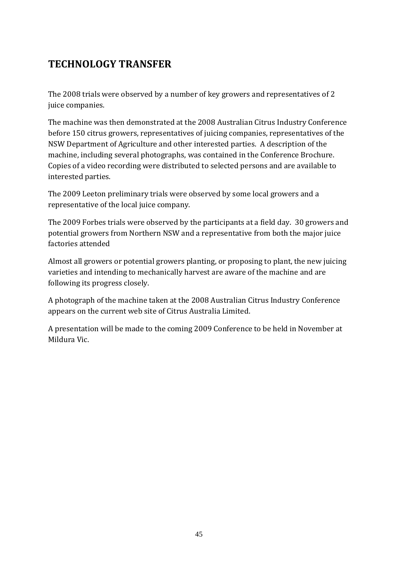## **TECHNOLOGY TRANSFER**

The 2008 trials were observed by a number of key growers and representatives of 2 juice companies.

The machine was then demonstrated at the 2008 Australian Citrus Industry Conference before 150 citrus growers, representatives of juicing companies, representatives of the NSW Department of Agriculture and other interested parties. A description of the machine, including several photographs, was contained in the Conference Brochure. Copies of a video recording were distributed to selected persons and are available to interested parties.

The 2009 Leeton preliminary trials were observed by some local growers and a representative of the local juice company.

The 2009 Forbes trials were observed by the participants at a field day. 30 growers and potential growers from Northern NSW and a representative from both the major juice factories attended

Almost all growers or potential growers planting, or proposing to plant, the new juicing varieties and intending to mechanically harvest are aware of the machine and are following its progress closely.

A photograph of the machine taken at the 2008 Australian Citrus Industry Conference appears on the current web site of Citrus Australia Limited.

A presentation will be made to the coming 2009 Conference to be held in November at Mildura Vic.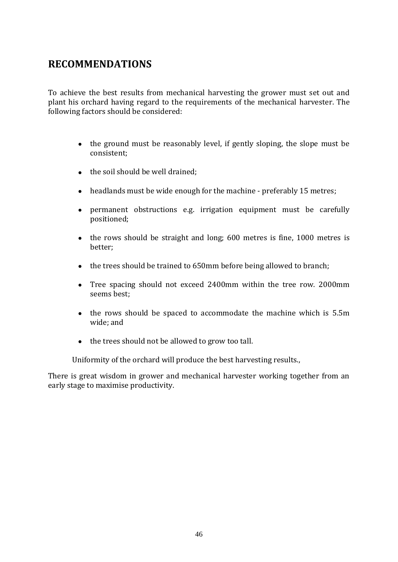## **RECOMMENDATIONS**

To achieve the best results from mechanical harvesting the grower must set out and plant his orchard having regard to the requirements of the mechanical harvester. The following factors should be considered:

- the ground must be reasonably level, if gently sloping, the slope must be consistent;
- the soil should be well drained;
- headlands must be wide enough for the machine preferably 15 metres;
- permanent obstructions e.g. irrigation equipment must be carefully positioned;
- the rows should be straight and long: 600 metres is fine, 1000 metres is better;
- the trees should be trained to 650mm before being allowed to branch;
- Tree spacing should not exceed 2400mm within the tree row. 2000mm seems best;
- the rows should be spaced to accommodate the machine which is 5.5m wide; and
- the trees should not be allowed to grow too tall.

Uniformity of the orchard will produce the best harvesting results.,

There is great wisdom in grower and mechanical harvester working together from an early stage to maximise productivity.